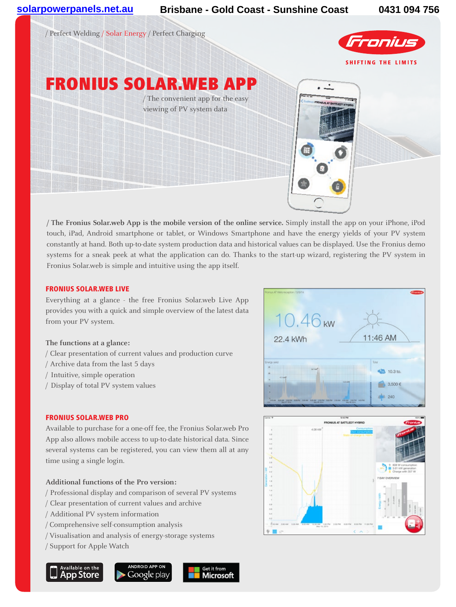

**/ The Fronius Solar.web App is the mobile version of the online service.** Simply install the app on your iPhone, iPod touch, iPad, Android smartphone or tablet, or Windows Smartphone and have the energy yields of your PV system constantly at hand. Both up-to-date system production data and historical values can be displayed. Use the Fronius demo systems for a sneak peek at what the application can do. Thanks to the start-up wizard, registering the PV system in Fronius Solar.web is simple and intuitive using the app itself.

#### FRONIUS SOLAR.WEB LIVE

Everything at a glance - the free Fronius Solar.web Live App provides you with a quick and simple overview of the latest data from your PV system.

### **The functions at a glance:**

- / Clear presentation of current values and production curve
- / Archive data from the last 5 days
- / Intuitive, simple operation
- / Display of total PV system values

### FRONIUS SOLAR.WEB PRO

Available to purchase for a one-off fee, the Fronius Solar.web Pro App also allows mobile access to up-to-date historical data. Since several systems can be registered, you can view them all at any time using a single login.

## **Additional functions of the Pro version:**

- / Professional display and comparison of several PV systems
- / Clear presentation of current values and archive
- / Additional PV system information
- / Comprehensive self-consumption analysis
- / Visualisation and analysis of energy-storage systems
- / Support for Apple Watch